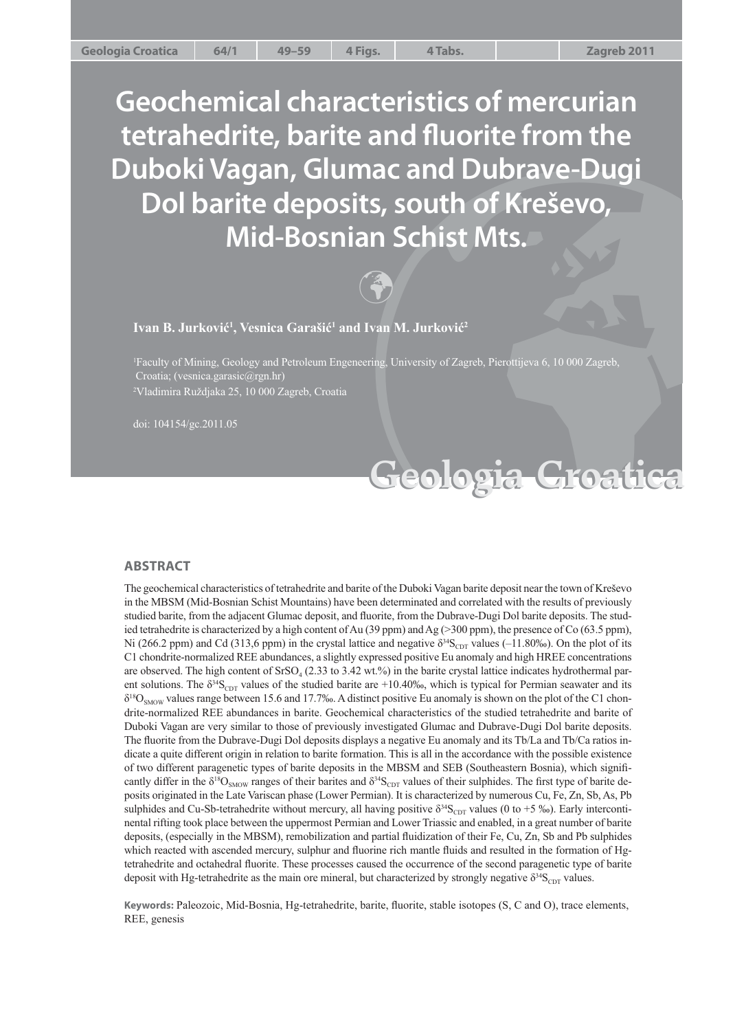**Cologia Croatical**<br>
Step Crosses and Dubrave-Dugi<br>
In Schist Mts.<br>
The Schist Mts.<br>
The University of Zagreb, Pierottijeva 6, 10 000 Zagreb.<br>
The University of Zagreb, Pierottijeva 6, 10 000 Zagreb.<br> **Geologia Croatica Geochemical characteristics of mercurian**  tetrahedrite, barite and fluorite from the **Duboki Vagan, Glumac and Dubrave-Dugi Dol barite deposits, south of Kreševo, Mid-Bosnian Schist Mts.**



**Ivan B. Jurković1 , Vesnica Garašić1 and Ivan M. Jurković2**

1 Faculty of Mining, Geology and Petroleum Engeneering, University of Zagreb, Pierottijeva 6, 10 000 Zagreb, Croatia; (vesnica.garasic@rgn.hr) 2 Vladimira Ruždjaka 25, 10 000 Zagreb, Croatia

**Geologia Croatica Geologia Croatica**

doi: 104154/gc.2011.05

#### **AB STRA CT**

The geochemical characteristics of tetrahedrite and barite of the Duboki Vagan barite deposit near the town of Kreševo in the MBSM (Mid-Bosnian Schist Mountains) have been determinated and correlated with the results of previously studied barite, from the adjacent Glumac deposit, and fl uorite, from the Dubrave-Dugi Dol barite deposits. The stud ied tetrahedrite is characterized by a high content of Au (39 ppm) and Ag (>300 ppm), the presence of Co (63.5 ppm), Ni (266.2 ppm) and Cd (313,6 ppm) in the crystal lattice and negative  $\delta^{34}S_{\text{CDT}}$  values (-11.80‰). On the plot of its C1 chondrite-normalized REE abundances, a slightly expressed positive Eu anomaly and high HREE concentrations are observed. The high content of  $SrSO<sub>4</sub>$  (2.33 to 3.42 wt.%) in the barite crystal lattice indicates hydrothermal parent solutions. The  $\delta^{34}S_{CDT}$  values of the studied barite are +10.40‰, which is typical for Permian seawater and its  $\delta^{18}O_{SMOW}$  values range between 15.6 and 17.7‰. A distinct positive Eu anomaly is shown on the plot of the C1 chondrite-normalized REE abundances in barite. Geochemical characteristics of the studied tetrahedrite and barite of Duboki Vagan are very similar to those of previously investigated Glumac and Dubrave-Dugi Dol barite deposits. The fluorite from the Dubrave-Dugi Dol deposits displays a negative Eu anomaly and its Tb/La and Tb/Ca ratios indicate a quite different origin in relation to barite formation. This is all in the accordance with the possible existence of two different paragenetic types of barite deposits in the MBSM and SEB (Southeastern Bosnia), which signifi cantly differ in the  $\delta^{18}O_{SMOW}$  ranges of their barites and  $\delta^{34}S_{CDT}$  values of their sulphides. The first type of barite deposits originated in the Late Variscan phase (Lower Permian). It is characterized by numerous Cu, Fe, Zn, Sb, As, Pb sulphides and Cu-Sb-tetrahedrite without mercury, all having positive  $\delta^{34}S_{\text{CDT}}$  values (0 to +5 ‰). Early intercontinental rifting took place between the uppermost Permian and Lower Triassic and enabled, in a great number of barite deposits, (especially in the MBSM), remobilization and partial fluidization of their Fe, Cu, Zn, Sb and Pb sulphides which reacted with ascended mercury, sulphur and fluorine rich mantle fluids and resulted in the formation of Hgtetrahedrite and octahedral fluorite. These processes caused the occurrence of the second paragenetic type of barite deposit with Hg-tetrahedrite as the main ore mineral, but characterized by strongly negative  $\delta^{34}S_{\text{CDT}}$  values.

Keywords: Paleozoic, Mid-Bosnia, Hg-tetrahedrite, barite, fluorite, stable isotopes (S, C and O), trace elements, REE, genesis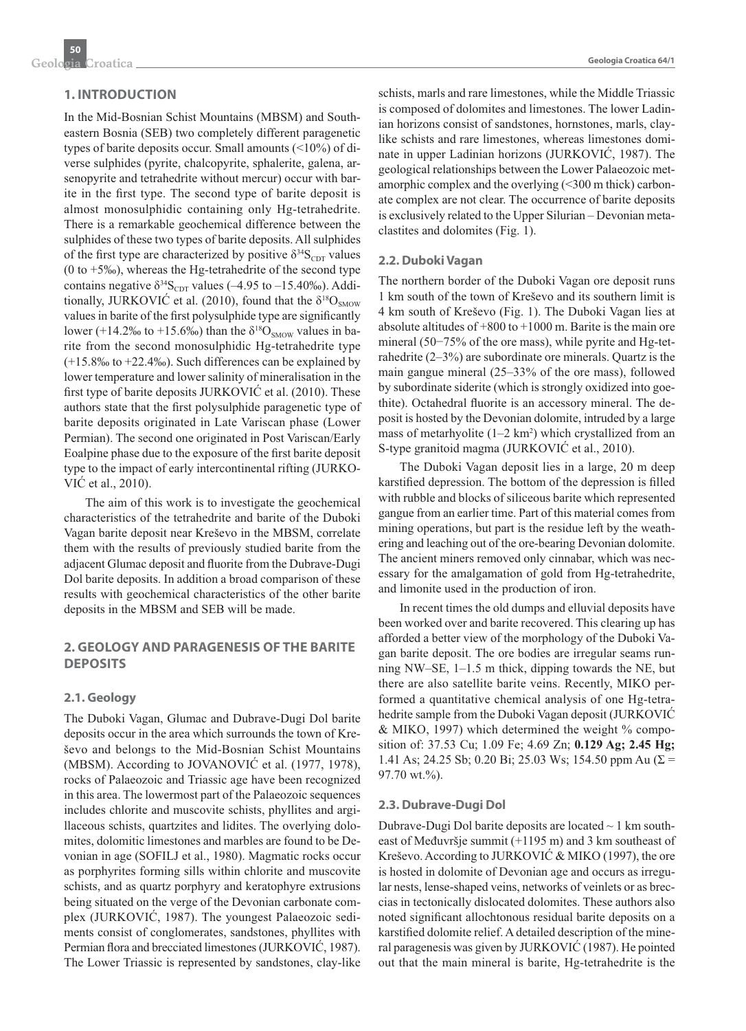# **1. INTRODUCTION**

In the Mid-Bosnian Schist Mountains (MBSM) and Southeastern Bosnia (SEB) two completely different paragenetic types of barite deposits occur. Small amounts (<10%) of diverse sulphides (pyrite, chalcopyrite, sphalerite, galena, arsenopyrite and tetrahedrite without mercur) occur with barite in the first type. The second type of barite deposit is almost monosulphidic containing only Hg-tetrahedrite. There is a remarkable geochemical difference between the sulphides of these two types of barite deposits. All sulphides of the first type are characterized by positive  $\delta^{34}S_{CDT}$  values (0 to +5‰), whereas the Hg-tetrahedrite of the second type contains negative  $\delta^{34}S_{CDT}$  values (–4.95 to –15.40‰). Additionally, JURKOVIĆ et al. (2010), found that the  $\delta^{18}O_{SMOW}$ values in barite of the first polysulphide type are significantly lower (+14.2‰ to +15.6‰) than the  $\delta^{18}O_{SMOW}$  values in barite from the second monosulphidic Hg-tetrahedrite type (+15.8‰ to +22.4‰). Such differences can be explained by lower temperature and lower salinity of mineralisation in the first type of barite deposits JURKOVI $\acute{C}$  et al. (2010). These authors state that the first polysulphide paragenetic type of barite deposits originated in Late Variscan phase (Lower Permian). The second one originated in Post Variscan/Early Eoalpine phase due to the exposure of the first barite deposit type to the impact of early intercontinental rifting (JURKO-VIĆ et al., 2010).

The aim of this work is to investigate the geochemical characteristics of the tetrahedrite and barite of the Duboki Vagan barite deposit near Kreševo in the MBSM, correlate them with the results of previously studied barite from the adjacent Glumac deposit and fluorite from the Dubrave-Dugi Dol barite deposits. In addition a broad comparison of these results with geochemical characteristics of the other barite deposits in the MBSM and SEB will be made.

# **2. GEOLOGY AND PARAGENESIS OF THE BARITE DEPOSITS**

#### **2.1. Geology**

The Duboki Vagan, Glumac and Dubrave-Dugi Dol barite deposits occur in the area which surrounds the town of Kreše vo and belongs to the Mid-Bosnian Schist Mountains (MBSM). According to JOVANOVIĆ et al. (1977, 1978), rocks of Palaeozoic and Triassic age have been recognized in this area. The lowermost part of the Palaeozoic sequences includes chlorite and muscovite schists, phyllites and argillaceous schists, quartzites and lidites. The overlying dolomites, dolomitic limestones and marbles are found to be Devonian in age (SOFILJ et al., 1980). Magmatic rocks occur as porphyrites forming sills within chlorite and muscovite schists, and as quartz porphyry and keratophyre extrusions being situated on the verge of the Devonian carbonate complex (JURKOVIĆ, 1987). The youngest Palaeozoic sediments consist of conglomerates, sandstones, phyllites with Permian flora and brecciated limestones (JURKOVIĆ, 1987). The Lower Triassic is represented by sandstones, clay-like schists, marls and rare limestones, while the Middle Triassic is composed of dolomites and limestones. The lower Ladinian horizons consist of sandstones, hornstones, marls, claylike schists and rare limestones, whereas limestones dominate in upper Ladinian horizons (JURKOVIĆ, 1987). The geological relationships between the Lower Palaeozoic metamorphic complex and the overlying (<300 m thick) carbonate complex are not clear. The occurrence of barite deposits is exclusively related to the Upper Silurian – Devonian metaclastites and dolomites (Fig. 1).

#### **2.2. Duboki Vagan**

The northern border of the Duboki Vagan ore deposit runs 1 km south of the town of Kreševo and its southern limit is 4 km south of Kreševo (Fig. 1). The Duboki Vagan lies at absolute altitudes of +800 to +1000 m. Barite is the main ore mineral (50−75% of the ore mass), while pyrite and Hg-tetrahedrite (2–3%) are subordinate ore minerals. Quartz is the main gangue mineral (25–33% of the ore mass), followed by subordinate siderite (which is strongly oxidized into goethite). Octahedral fluorite is an accessory mineral. The deposit is hosted by the Devonian dolomite, intruded by a large mass of metarhyolite  $(1-2 \text{ km}^2)$  which crystallized from an S-type granitoid magma (JURKOVIĆ et al., 2010).

The Duboki Vagan deposit lies in a large, 20 m deep karstified depression. The bottom of the depression is filled with rubble and blocks of siliceous barite which represented gangue from an earlier time. Part of this material comes from mining operations, but part is the residue left by the weathering and leaching out of the ore-bearing Devonian dolomite. The ancient miners removed only cinnabar, which was necessary for the amalgamation of gold from Hg-tetrahedrite, and limonite used in the production of iron.

In recent times the old dumps and elluvial deposits have been worked over and barite recovered. This clearing up has afforded a better view of the morphology of the Duboki Vagan barite deposit. The ore bodies are irregular seams running NW–SE, 1–1.5 m thick, dipping towards the NE, but there are also satellite barite veins. Recently, MIKO performed a quantitative chemical analysis of one Hg-tetrahedrite sample from the Duboki Vagan deposit (JURKOVIĆ & MIKO, 1997) which determined the weight % composition of: 37.53 Cu; 1.09 Fe; 4.69 Zn; **0.129 Ag; 2.45 Hg;**  1.41 As; 24.25 Sb; 0.20 Bi; 25.03 Ws; 154.50 ppm Au ( $\Sigma$  = 97.70 wt.%).

#### **2.3. Dubrave-Dugi Dol**

Dubrave-Dugi Dol barite deposits are located  $\sim$  1 km southeast of Međuvršje summit (+1195 m) and 3 km southeast of Kreševo. According to JURKOVIĆ & MIKO (1997), the ore is hosted in dolomite of Devonian age and occurs as irregular nests, lense-shaped veins, networks of veinlets or as breccias in tectonically dislocated dolomites. These authors also noted significant allochtonous residual barite deposits on a karstified dolomite relief. A detailed description of the mineral paragenesis was given by JURKOVIĆ (1987). He pointed out that the main mineral is barite, Hg-tetrahedrite is the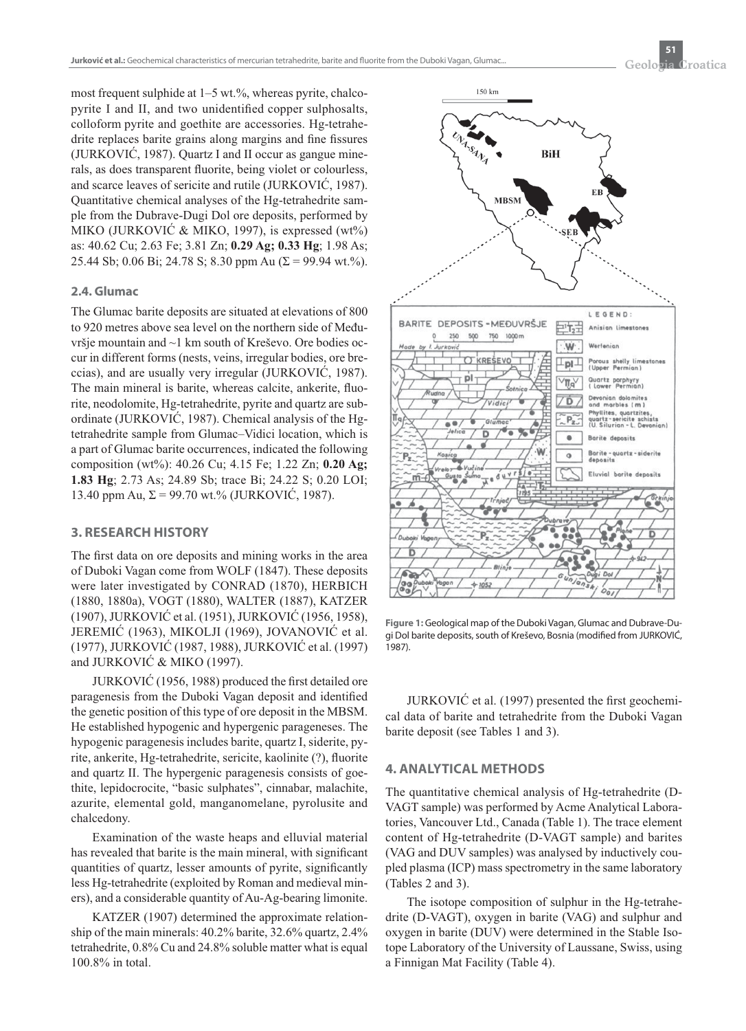most frequent sulphide at  $1-5$  wt.%, whereas pyrite, chalcopyrite I and II, and two unidentified copper sulphosalts, colloform pyrite and goethite are accessories. Hg-tetrahedrite replaces barite grains along margins and fine fissures (JURKOVIĆ, 1987). Quartz I and II occur as gangue minerals, as does transparent fluorite, being violet or colourless, and scarce leaves of sericite and rutile (JURKOVIĆ, 1987). Quantitative chemical analyses of the Hg-tetrahedrite sample from the Dubrave-Dugi Dol ore deposits, performed by MIKO (JURKOVIĆ & MIKO, 1997), is expressed (wt%) as: 40.62 Cu; 2.63 Fe; 3.81 Zn; **0.29 Ag; 0.33 Hg**; 1.98 As; 25.44 Sb; 0.06 Bi; 24.78 S; 8.30 ppm Au ( $\Sigma$  = 99.94 wt.%).

#### **2.4. Glumac**

The Glumac barite deposits are situated at elevations of 800 to 920 metres above sea level on the northern side of Međuvršje mountain and ~1 km south of Kreševo. Ore bodies occur in different forms (nests, veins, irregular bodies, ore breccias), and are usually very irregular (JURKOVIĆ, 1987). The main mineral is barite, whereas calcite, ankerite, fluorite, neodolomite, Hg-tetrahedrite, pyrite and quartz are subordinate (JURKOVIĆ, 1987). Chemical analysis of the Hgtetrahedrite sample from Glumac–Vidici location, which is a part of Glumac barite occurrences, indicated the following composition (wt%): 40.26 Cu; 4.15 Fe; 1.22 Zn; **0.20 Ag; 1.83 Hg**; 2.73 As; 24.89 Sb; trace Bi; 24.22 S; 0.20 LOI; 13.40 ppm Au,  $\Sigma$  = 99.70 wt.% (JURKOVIC, 1987).

# **3. RESEARCH HISTORY**

The first data on ore deposits and mining works in the area of Duboki Vagan come from WOLF (1847). These deposits were later investigated by CONRAD (1870), HERBICH (1880, 1880a), VOGT (1880), WALTER (1887), KATZER (1907), JURKOVIĆ et al. (1951), JURKOVIĆ (1956, 1958), JEREMIĆ (1963), MIKOLJI (1969), JOVANOVIĆ et al. (1977), JURKOVIĆ (1987, 1988), JURKOVIĆ et al. (1997) and JURKOVIĆ & MIKO (1997).

JURKOVIĆ (1956, 1988) produced the first detailed ore paragenesis from the Duboki Vagan deposit and identified the genetic position of this type of ore deposit in the MBSM. He established hypogenic and hypergenic parageneses. The hypogenic paragenesis includes barite, quartz I, siderite, pyrite, ankerite, Hg-tetrahedrite, sericite, kaolinite (?), fluorite and quartz II. The hypergenic paragenesis consists of goethite, lepidocrocite, "basic sulphates", cinnabar, malachite, azurite, elemental gold, manganomelane, pyrolusite and chalcedony.

Examination of the waste heaps and elluvial material has revealed that barite is the main mineral, with significant quantities of quartz, lesser amounts of pyrite, significantly less Hg-tetrahedrite (exploited by Roman and medieval miners), and a considerable quantity of Au-Ag-bearing limonite.

KATZER (1907) determined the approximate relationship of the main minerals: 40.2% barite, 32.6% quartz, 2.4% tetrahedrite, 0.8% Cu and 24.8% soluble matter what is equal 100.8% in total.



Figure 1: Geological map of the Duboki Vagan, Glumac and Dubrave-Dugi Dol barite deposits, south of Kreševo, Bosnia (modified from JURKOVIĆ, 1987).

JURKOVIĆ et al. (1997) presented the first geochemical data of barite and tetrahedrite from the Duboki Vagan barite deposit (see Tables 1 and 3).

# **4. ANALYTICAL METHODS**

The quantitative chemical analysis of Hg-tetrahedrite (D-VAGT sample) was performed by Acme Analytical Laboratories, Vancouver Ltd., Canada (Table 1). The trace element content of Hg-tetrahedrite (D-VAGT sample) and barites (VAG and DUV samples) was analysed by inductively coupled plasma (ICP) mass spectrometry in the same laboratory (Tables 2 and 3).

The isotope composition of sulphur in the Hg-tetrahedrite (D-VAGT), oxygen in barite (VAG) and sulphur and oxygen in barite (DUV) were determined in the Stable Isotope Laboratory of the University of Laussane, Swiss, using a Finnigan Mat Facility (Table 4).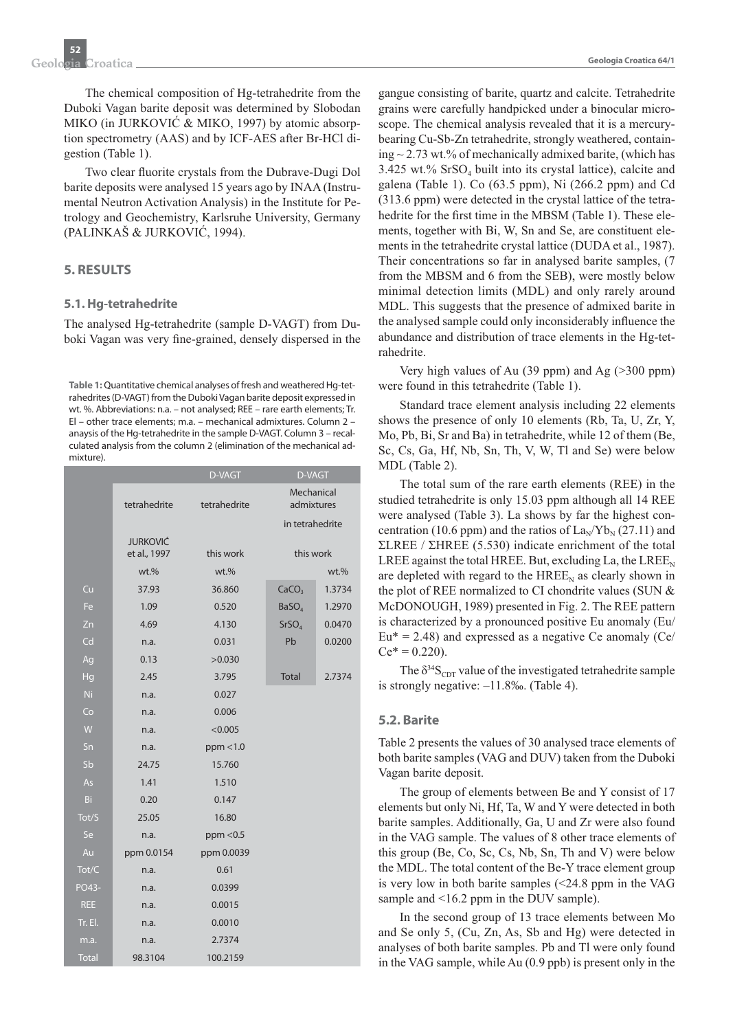The chemical composition of Hg-tetrahedrite from the Duboki Vagan barite deposit was determined by Slobodan MIKO (in JURKOVIĆ & MIKO, 1997) by atomic absorption spectrometry (AAS) and by ICF-AES after Br-HCl digestion (Table 1).

Two clear fluorite crystals from the Dubrave-Dugi Dol barite deposits were analysed 15 years ago by INAA (Instrumental Neutron Activation Analysis) in the Institute for Petrology and Geochemistry, Karlsruhe University, Germany (PALINKAŠ & JURKOVIĆ, 1994).

# **5. RESULTS**

### **5.1. Hg-tetrahedrite**

The analysed Hg-tetrahedrite (sample D-VAGT) from Duboki Vagan was very fine-grained, densely dispersed in the

**Table 1:** Quantitative chemical analyses of fresh and weathered Hg-tetrahedrites (D-VAGT) from the Duboki Vagan barite deposit expressed in wt. %. Abbreviations: n.a. – not analysed; REE – rare earth elements; Tr. El – other trace elements; m.a. – mechanical admixtures. Column 2 – anaysis of the Hg-tetrahedrite in the sample D-VAGT. Column 3 – recalculated analysis from the column 2 (elimination of the mechanical admixture).

|              |                                 | D-VAGT       | D-VAGT                   |         |
|--------------|---------------------------------|--------------|--------------------------|---------|
|              | tetrahedrite                    | tetrahedrite | Mechanical<br>admixtures |         |
|              |                                 |              | in tetrahedrite          |         |
|              | <b>JURKOVIĆ</b><br>et al., 1997 | this work    | this work                |         |
|              | $wt.$ %                         | $wt.$ %      |                          | $wt.$ % |
| Cu           | 37.93                           | 36.860       | CaCO <sub>3</sub>        | 1.3734  |
| Fe           | 1.09                            | 0.520        | BaSO <sub>4</sub>        | 1.2970  |
| Zn           | 4.69                            | 4.130        | SrSO <sub>A</sub>        | 0.0470  |
| Cd           | n.a.                            | 0.031        | Pb                       | 0.0200  |
| Aq           | 0.13                            | >0.030       |                          |         |
| Hg           | 2.45                            | 3.795        | <b>Total</b>             | 2.7374  |
| <b>Ni</b>    | n.a.                            | 0.027        |                          |         |
| Co           | n.a.                            | 0.006        |                          |         |
| W            | n.a.                            | < 0.005      |                          |         |
| Sn           | n.a.                            | ppm < 1.0    |                          |         |
| Sb           | 24.75                           | 15.760       |                          |         |
| As           | 1.41                            | 1.510        |                          |         |
| Bi           | 0.20                            | 0.147        |                          |         |
| Tot/S        | 25.05                           | 16.80        |                          |         |
| Se           | n.a.                            | ppm < 0.5    |                          |         |
| Au           | ppm 0.0154                      | ppm 0.0039   |                          |         |
| Tot/C        | n.a.                            | 0.61         |                          |         |
| PO43-        | n.a.                            | 0.0399       |                          |         |
| <b>REE</b>   | n.a.                            | 0.0015       |                          |         |
| Tr. El.      | n.a.                            | 0.0010       |                          |         |
| m.a.         | n.a.                            | 2.7374       |                          |         |
| <b>Total</b> | 98.3104                         | 100.2159     |                          |         |

gangue consisting of barite, quartz and calcite. Tetrahedrite grains were carefully handpicked under a binocular microscope. The chemical analysis revealed that it is a mercurybearing Cu-Sb-Zn tetrahedrite, strongly weathered, containing  $\sim$  2.73 wt.% of mechanically admixed barite, (which has 3.425 wt.%  $SrSO<sub>4</sub>$  built into its crystal lattice), calcite and galena (Table 1). Co (63.5 ppm), Ni (266.2 ppm) and Cd (313.6 ppm) were detected in the crystal lattice of the tetrahedrite for the first time in the MBSM (Table 1). These elements, together with Bi, W, Sn and Se, are constituent elements in the tetrahedrite crystal lattice (DUDA et al., 1987). Their concentrations so far in analysed barite samples, (7 from the MBSM and 6 from the SEB), were mostly below minimal detection limits (MDL) and only rarely around MDL. This suggests that the presence of admixed barite in the analysed sample could only inconsiderably influence the abundance and distribution of trace elements in the Hg-tetrahedrite.

Very high values of Au (39 ppm) and Ag (>300 ppm) were found in this tetrahedrite (Table 1).

Standard trace element analysis including 22 elements shows the presence of only 10 elements (Rb, Ta, U, Zr, Y, Mo, Pb, Bi, Sr and Ba) in tetrahedrite, while 12 of them (Be, Sc, Cs, Ga, Hf, Nb, Sn, Th, V, W, Tl and Se) were below MDL (Table 2).

The total sum of the rare earth elements (REE) in the studied tetrahedrite is only 15.03 ppm although all 14 REE were analysed (Table 3). La shows by far the highest concentration (10.6 ppm) and the ratios of  $\text{La}_{\text{N}}/\text{Yb}_{\text{N}}$  (27.11) and ΣLREE / ΣHREE (5.530) indicate enrichment of the total LREE against the total HREE. But, excluding La, the LREE<sub>N</sub> are depleted with regard to the  $HREE<sub>N</sub>$  as clearly shown in the plot of REE normalized to CI chondrite values (SUN & McDONOUGH, 1989) presented in Fig. 2. The REE pattern is characterized by a pronounced positive Eu anomaly (Eu/  $Eu^* = 2.48$ ) and expressed as a negative Ce anomaly (Ce/  $Ce^* = 0.220$ .

The  $\delta^{34}S_{CDT}$  value of the investigated tetrahedrite sample is strongly negative: –11.8‰. (Table 4).

#### **5.2. Barite**

Table 2 presents the values of 30 analysed trace elements of both barite samples (VAG and DUV) taken from the Duboki Vagan barite deposit.

The group of elements between Be and Y consist of 17 elements but only Ni, Hf, Ta, W and Y were detected in both barite samples. Additionally, Ga, U and Zr were also found in the VAG sample. The values of 8 other trace elements of this group (Be, Co, Sc, Cs, Nb, Sn, Th and V) were below the MDL. The total content of the Be-Y trace element group is very low in both barite samples (<24.8 ppm in the VAG sample and <16.2 ppm in the DUV sample).

In the second group of 13 trace elements between Mo and Se only 5, (Cu, Zn, As, Sb and Hg) were detected in analyses of both barite samples. Pb and Tl were only found in the VAG sample, while Au (0.9 ppb) is present only in the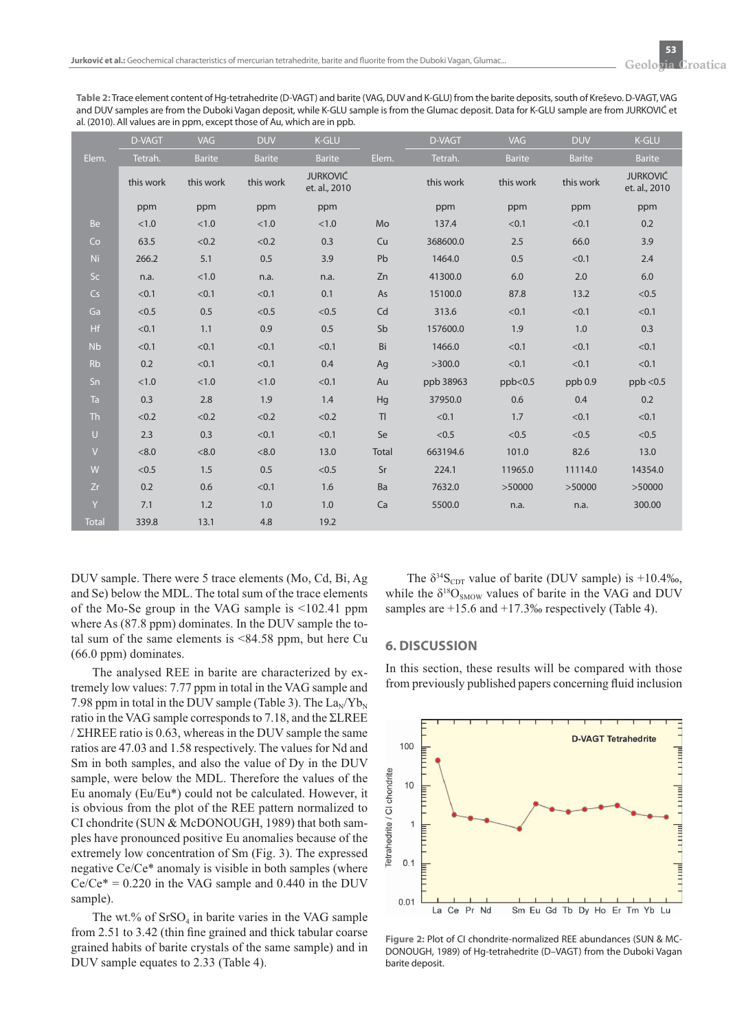**Table 2:** Trace element content of Hg-tetrahedrite (D-VAGT) and barite (VAG, DUV and K-GLU) from the barite deposits, south of Kreševo. D-VAGT, VAG and DUV samples are from the Duboki Vagan deposit, while K-GLU sample is from the Glumac deposit. Data for K-GLU sample are from JURKOVIĆ et al. (2010). All values are in ppm, except those of Au, which are in ppb.

|              | D-VAGT    | VAG           | <b>DUV</b>    | <b>K-GLU</b>                     |                | D-VAGT    | <b>VAG</b>    | <b>DUV</b>    | <b>K-GLU</b>                     |
|--------------|-----------|---------------|---------------|----------------------------------|----------------|-----------|---------------|---------------|----------------------------------|
| Elem.        | Tetrah.   | <b>Barite</b> | <b>Barite</b> | <b>Barite</b>                    | Elem.          | Tetrah.   | <b>Barite</b> | <b>Barite</b> | <b>Barite</b>                    |
|              | this work | this work     | this work     | <b>JURKOVIĆ</b><br>et. al., 2010 |                | this work | this work     | this work     | <b>JURKOVIĆ</b><br>et. al., 2010 |
|              | ppm       | ppm           | ppm           | ppm                              |                | ppm       | ppm           | ppm           | ppm                              |
| <b>Be</b>    | < 1.0     | < 1.0         | < 1.0         | < 1.0                            | Mo             | 137.4     | < 0.1         | < 0.1         | 0.2                              |
| Co           | 63.5      | < 0.2         | < 0.2         | 0.3                              | Cu             | 368600.0  | 2.5           | 66.0          | 3.9                              |
| Ni.          | 266.2     | 5.1           | 0.5           | 3.9                              | Pb             | 1464.0    | 0.5           | < 0.1         | 2.4                              |
| Sc           | n.a.      | < 1.0         | n.a.          | n.a.                             | Zn             | 41300.0   | 6.0           | 2.0           | 6.0                              |
| Cs           | < 0.1     | < 0.1         | < 0.1         | 0.1                              | As             | 15100.0   | 87.8          | 13.2          | < 0.5                            |
| Ga           | < 0.5     | 0.5           | < 0.5         | < 0.5                            | Cd             | 313.6     | < 0.1         | < 0.1         | < 0.1                            |
| Hf           | < 0.1     | 1.1           | 0.9           | 0.5                              | Sb             | 157600.0  | 1.9           | 1.0           | 0.3                              |
| <b>Nb</b>    | < 0.1     | < 0.1         | < 0.1         | < 0.1                            | Bi             | 1466.0    | < 0.1         | < 0.1         | < 0.1                            |
| <b>Rb</b>    | 0.2       | < 0.1         | < 0.1         | 0.4                              | Ag             | >300.0    | < 0.1         | < 0.1         | < 0.1                            |
| Sn           | < 1.0     | < 1.0         | < 1.0         | < 0.1                            | Au             | ppb 38963 | ppb<0.5       | ppb 0.9       | ppb < 0.5                        |
| Ta           | 0.3       | 2.8           | 1.9           | 1.4                              | Hg             | 37950.0   | 0.6           | 0.4           | 0.2                              |
| <b>Th</b>    | < 0.2     | < 0.2         | < 0.2         | < 0.2                            | T <sub>l</sub> | < 0.1     | 1.7           | < 0.1         | < 0.1                            |
| $\cup$       | 2.3       | 0.3           | < 0.1         | < 0.1                            | Se             | < 0.5     | < 0.5         | < 0.5         | < 0.5                            |
| $\vee$       | < 8.0     | < 8.0         | < 8.0         | 13.0                             | Total          | 663194.6  | 101.0         | 82.6          | 13.0                             |
| W            | < 0.5     | 1.5           | 0.5           | < 0.5                            | Sr             | 224.1     | 11965.0       | 11114.0       | 14354.0                          |
| Zr           | 0.2       | 0.6           | < 0.1         | 1.6                              | Ba             | 7632.0    | >50000        | >50000        | >50000                           |
| Y            | 7.1       | 1.2           | 1.0           | 1.0                              | Ca             | 5500.0    | n.a.          | n.a.          | 300.00                           |
| <b>Total</b> | 339.8     | 13.1          | 4.8           | 19.2                             |                |           |               |               |                                  |

DUV sample. There were 5 trace elements (Mo, Cd, Bi, Ag and Se) below the MDL. The total sum of the trace elements of the Mo-Se group in the VAG sample is <102.41 ppm where As (87.8 ppm) dominates. In the DUV sample the total sum of the same elements is  $<84.58$  ppm, but here Cu (66.0 ppm) dominates.

The analysed REE in barite are characterized by extremely low values: 7.77 ppm in total in the VAG sample and 7.98 ppm in total in the DUV sample (Table 3). The  $\text{La}_{\text{N}}/\text{Yb}_{\text{N}}$ ratio in the VAG sample corresponds to 7.18, and the ΣLREE / ΣHREE ratio is 0.63, whereas in the DUV sample the same ratios are 47.03 and 1.58 respectively. The values for Nd and Sm in both samples, and also the value of Dy in the DUV sample, were below the MDL. Therefore the values of the Eu anomaly (Eu/Eu\*) could not be calculated. However, it is obvious from the plot of the REE pattern normalized to CI chondrite (SUN & McDONOUGH, 1989) that both samples have pronounced positive Eu anomalies because of the extremely low concentration of Sm (Fig. 3). The expressed negative Ce/Ce\* anomaly is visible in both samples (where  $Ce/Ce^* = 0.220$  in the VAG sample and 0.440 in the DUV sample).

The wt.% of  $SrSO<sub>4</sub>$  in barite varies in the VAG sample from 2.51 to 3.42 (thin fine grained and thick tabular coarse grained habits of barite crystals of the same sample) and in DUV sample equates to 2.33 (Table 4).

The  $\delta^{34}S_{\text{CDT}}$  value of barite (DUV sample) is +10.4‰, while the  $\delta^{18}O_{SMOW}$  values of barite in the VAG and DUV samples are  $+15.6$  and  $+17.3%$  respectively (Table 4).

#### **6. DISCUSSION**

In this section, these results will be compared with those from previously published papers concerning fluid inclusion



**Figure 2: Plot of CL chondrite-normalized RFF abundances (SUN & MC-**DONOUGH, 1989) of Hg-tetrahedrite (D–VAGT) from the Duboki Vagan barite deposit.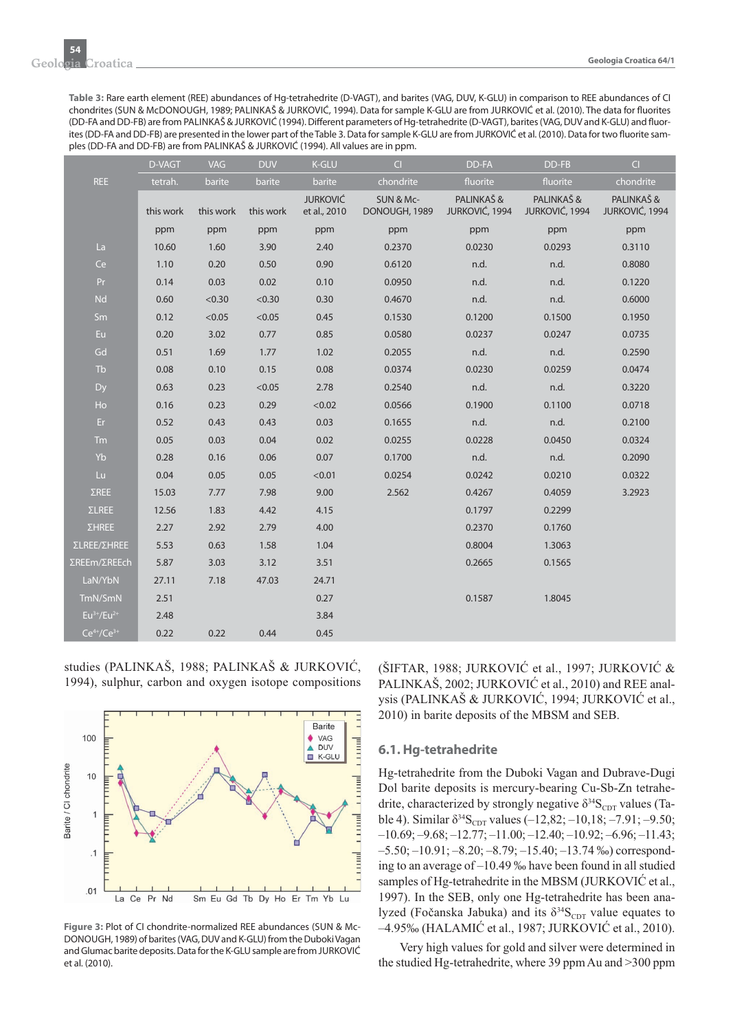**Table 3:** Rare earth element (REE) abundances of Hg-tetrahedrite (D-VAGT), and barites (VAG, DUV, K-GLU) in comparison to REE abundances of CI chondrites (SUN & McDONOUGH, 1989; PALINKAŠ & JURKOVIĆ, 1994). Data for sample K-GLU are from JURKOVIĆ et al. (2010). The data for fl uorites (DD-FA and DD-FB) are from PALINKAŠ & JURKOVIĆ (1994). Different parameters of Hg-tetrahedrite (D-VAGT), barites (VAG, DUV and K-GLU) and fluorites (DD-FA and DD-FB) are presented in the lower part of the Table 3. Data for sample K-GLU are from JURKOVIĆ et al. (2010). Data for two fluorite samples (DD-FA and DD-FB) are from PALINKAŠ & JURKOVIĆ (1994). All values are in ppm.

|                   | D-VAGT    | <b>VAG</b> | <b>DUV</b> | <b>K-GLU</b>                    | $\overline{C}$             | DD-FA                       | DD-FB                       | $\overline{C}$              |
|-------------------|-----------|------------|------------|---------------------------------|----------------------------|-----------------------------|-----------------------------|-----------------------------|
| <b>REE</b>        | tetrah.   | barite     | barite     | barite                          | chondrite                  | fluorite                    | fluorite                    | chondrite                   |
|                   | this work | this work  | this work  | <b>JURKOVIĆ</b><br>et al., 2010 | SUN & Mc-<br>DONOUGH, 1989 | PALINKAŠ&<br>JURKOVIĆ, 1994 | PALINKAŠ&<br>JURKOVIĆ, 1994 | PALINKAŠ&<br>JURKOVIĆ, 1994 |
|                   | ppm       | ppm        | ppm        | ppm                             | ppm                        | ppm                         | ppm                         | ppm                         |
| La                | 10.60     | 1.60       | 3.90       | 2.40                            | 0.2370                     | 0.0230                      | 0.0293                      | 0.3110                      |
| Ce                | 1.10      | 0.20       | 0.50       | 0.90                            | 0.6120                     | n.d.                        | n.d.                        | 0.8080                      |
| Pr                | 0.14      | 0.03       | 0.02       | 0.10                            | 0.0950                     | n.d.                        | n.d.                        | 0.1220                      |
| <b>Nd</b>         | 0.60      | < 0.30     | < 0.30     | 0.30                            | 0.4670                     | n.d.                        | n.d.                        | 0.6000                      |
| <b>Sm</b>         | 0.12      | < 0.05     | < 0.05     | 0.45                            | 0.1530                     | 0.1200                      | 0.1500                      | 0.1950                      |
| Eu.               | 0.20      | 3.02       | 0.77       | 0.85                            | 0.0580                     | 0.0237                      | 0.0247                      | 0.0735                      |
| Gd                | 0.51      | 1.69       | 1.77       | 1.02                            | 0.2055                     | n.d.                        | n.d.                        | 0.2590                      |
| <b>Tb</b>         | 0.08      | 0.10       | 0.15       | 0.08                            | 0.0374                     | 0.0230                      | 0.0259                      | 0.0474                      |
| Dy                | 0.63      | 0.23       | < 0.05     | 2.78                            | 0.2540                     | n.d.                        | n.d.                        | 0.3220                      |
| Ho                | 0.16      | 0.23       | 0.29       | < 0.02                          | 0.0566                     | 0.1900                      | 0.1100                      | 0.0718                      |
| Er.               | 0.52      | 0.43       | 0.43       | 0.03                            | 0.1655                     | n.d.                        | n.d.                        | 0.2100                      |
| <b>Tm</b>         | 0.05      | 0.03       | 0.04       | 0.02                            | 0.0255                     | 0.0228                      | 0.0450                      | 0.0324                      |
| Yb                | 0.28      | 0.16       | 0.06       | 0.07                            | 0.1700                     | n.d.                        | n.d.                        | 0.2090                      |
| Lu.               | 0.04      | 0.05       | 0.05       | < 0.01                          | 0.0254                     | 0.0242                      | 0.0210                      | 0.0322                      |
| $\Sigma$ REE      | 15.03     | 7.77       | 7.98       | 9.00                            | 2.562                      | 0.4267                      | 0.4059                      | 3.2923                      |
| <b>ΣLREE</b>      | 12.56     | 1.83       | 4.42       | 4.15                            |                            | 0.1797                      | 0.2299                      |                             |
| <b>ΣΗREE</b>      | 2.27      | 2.92       | 2.79       | 4.00                            |                            | 0.2370                      | 0.1760                      |                             |
| ΣLREE/ΣΗRΕΕ       | 5.53      | 0.63       | 1.58       | 1.04                            |                            | 0.8004                      | 1.3063                      |                             |
| ΣREEm/ΣREEch      | 5.87      | 3.03       | 3.12       | 3.51                            |                            | 0.2665                      | 0.1565                      |                             |
| LaN/YbN           | 27.11     | 7.18       | 47.03      | 24.71                           |                            |                             |                             |                             |
| TmN/SmN           | 2.51      |            |            | 0.27                            |                            | 0.1587                      | 1.8045                      |                             |
| $Eu3+/Eu2+$       | 2.48      |            |            | 3.84                            |                            |                             |                             |                             |
| $Ce^{4+}/Ce^{3+}$ | 0.22      | 0.22       | 0.44       | 0.45                            |                            |                             |                             |                             |

studies (PALINKAŠ, 1988; PALINKAŠ & JURKOVIĆ, 1994), sulphur, carbon and oxygen isotope compositions



Figure 3: Plot of CI chondrite-normalized REE abundances (SUN & Mc-DONOUGH, 1989) of barites (VAG, DUV and K-GLU) from the Duboki Vagan and Glumac barite deposits. Data for the K-GLU sample are from JURKOVIĆ et al. (2010).

(ŠIFTAR, 1988; JURKOVIĆ et al., 1997; JURKOVIĆ & PALINKAŠ, 2002; JURKOVIĆ et al., 2010) and REE analysis (PALINKAŠ & JURKOVIĆ, 1994; JURKOVIĆ et al., 2010) in barite deposits of the MBSM and SEB.

# **6.1. Hg-tetrahedrite**

Hg-tetrahedrite from the Duboki Vagan and Dubrave-Dugi Dol barite deposits is mercury-bearing Cu-Sb-Zn tetrahedrite, characterized by strongly negative  $\delta^{34}S_{CDT}$  values (Table 4). Similar  $\delta^{34}S_{\text{CDT}}$  values (-12,82; -10,18; -7.91; -9.50;  $-10.69; -9.68; -12.77; -11.00; -12.40; -10.92; -6.96; -11.43;$  $-5.50$ ;  $-10.91$ ;  $-8.20$ ;  $-8.79$ ;  $-15.40$ ;  $-13.74$  ‰) corresponding to an average of –10.49 ‰ have been found in all studied samples of Hg-tetrahedrite in the MBSM (JURKOVIĆ et al., 1997). In the SEB, only one Hg-tetrahedrite has been analyzed (Fočanska Jabuka) and its  $\delta^{34}S_{CDT}$  value equates to –4.95‰ (HALAMIĆ et al., 1987; JURKOVIĆ et al., 2010).

Very high values for gold and silver were determined in the studied Hg-tetrahedrite, where 39 ppm Au and >300 ppm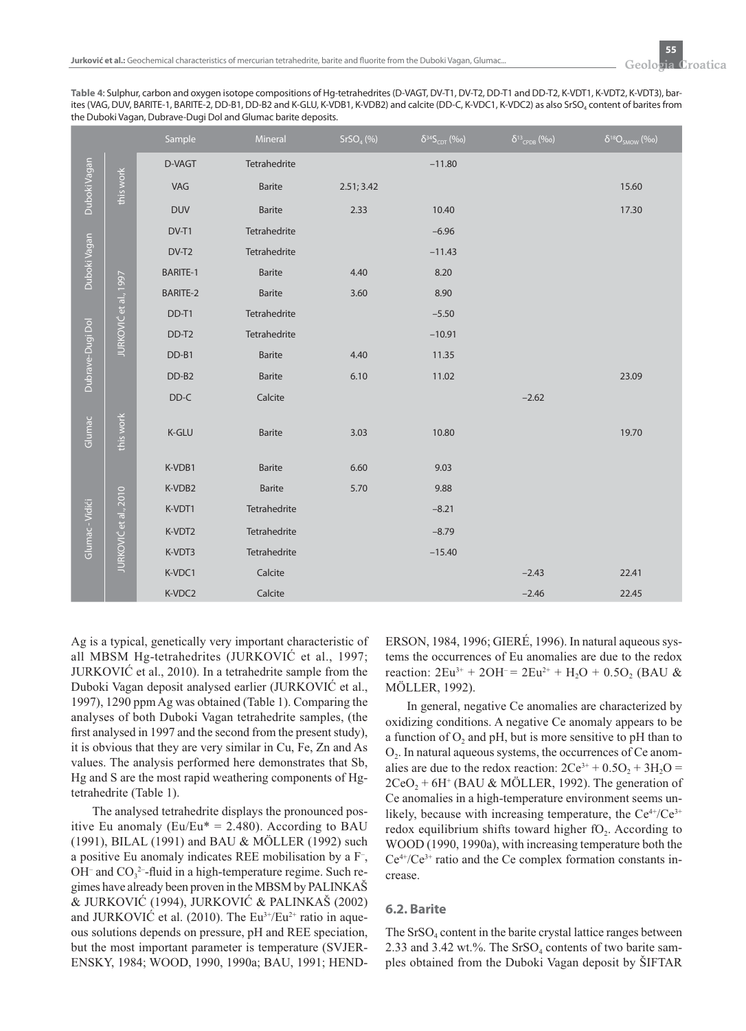**Table 4**: Sulphur, carbon and oxygen isotope compositions of Hg-tetrahedrites (D-VAGT, DV-T1, DV-T2, DD-T1 and DD-T2, K-VDT1, K-VDT2, K-VDT3), barites (VAG, DUV, BARITE-1, BARITE-2, DD-B1, DD-B2 and K-GLU, K-VDB1, K-VDB2) and calcite (DD-C, K-VDC1, K-VDC2) as also SrSO<sub>4</sub> content of barites from the Duboki Vagan, Dubrave-Dugi Dol and Glumac barite deposits.

|                  |                       | Sample          | Mineral       | SrSO <sub>4</sub> (%) | $\delta^{34}S_{CDT}$ (%o) | $\delta^{13}$ <sub>CPDB</sub> (%o) | $\delta^{18}O_{SMOW}$ (%o) |
|------------------|-----------------------|-----------------|---------------|-----------------------|---------------------------|------------------------------------|----------------------------|
| Duboki Vagan     |                       | D-VAGT          | Tetrahedrite  |                       | $-11.80$                  |                                    |                            |
|                  | this work             | VAG             | Barite        | 2.51; 3.42            |                           |                                    | 15.60                      |
|                  |                       | <b>DUV</b>      | <b>Barite</b> | 2.33                  | 10.40                     |                                    | 17.30                      |
| Duboki Vagan     |                       | DV-T1           | Tetrahedrite  |                       | $-6.96$                   |                                    |                            |
|                  |                       | DV-T2           | Tetrahedrite  |                       | $-11.43$                  |                                    |                            |
|                  |                       | BARITE-1        | <b>Barite</b> | 4.40                  | 8.20                      |                                    |                            |
|                  | JURKOVIĆ et al., 1997 | <b>BARITE-2</b> | <b>Barite</b> | 3.60                  | 8.90                      |                                    |                            |
| Dubrave-Dugi Dol |                       | DD-T1           | Tetrahedrite  |                       | $-5.50$                   |                                    |                            |
|                  |                       | DD-T2           | Tetrahedrite  |                       | $-10.91$                  |                                    |                            |
|                  |                       | DD-B1           | <b>Barite</b> | 4.40                  | 11.35                     |                                    |                            |
|                  |                       | DD-B2           | <b>Barite</b> | 6.10                  | 11.02                     |                                    | 23.09                      |
|                  |                       | $DD-C$          | Calcite       |                       |                           | $-2.62$                            |                            |
| Glumac           | this work             | K-GLU           | <b>Barite</b> | 3.03                  | 10.80                     |                                    | 19.70                      |
| Glumac - Vidići  |                       | K-VDB1          | Barite        | 6.60                  | 9.03                      |                                    |                            |
|                  |                       | K-VDB2          | <b>Barite</b> | 5.70                  | 9.88                      |                                    |                            |
|                  |                       | K-VDT1          | Tetrahedrite  |                       | $-8.21$                   |                                    |                            |
|                  |                       | K-VDT2          | Tetrahedrite  |                       | $-8.79$                   |                                    |                            |
|                  | JURKOVIĆ et al., 2010 | K-VDT3          | Tetrahedrite  |                       | $-15.40$                  |                                    |                            |
|                  |                       | K-VDC1          | Calcite       |                       |                           | $-2.43$                            | 22.41                      |
|                  |                       | K-VDC2          | Calcite       |                       |                           | $-2.46$                            | 22.45                      |

Ag is a typical, genetically very important characteristic of all MBSM Hg-tetrahedrites (JURKOVIĆ et al., 1997; JURKOVIĆ et al., 2010). In a tetrahedrite sample from the Duboki Vagan deposit analysed earlier (JURKOVIĆ et al., 1997), 1290 ppm Ag was obtained (Table 1). Comparing the analyses of both Duboki Vagan tetrahedrite samples, (the first analysed in 1997 and the second from the present study), it is obvious that they are very similar in Cu, Fe, Zn and As values. The analysis performed here demonstrates that Sb, Hg and S are the most rapid weathering components of Hgtetrahedrite (Table 1).

The analysed tetrahedrite displays the pronounced positive Eu anomaly (Eu/Eu $* = 2.480$ ). According to BAU (1991), BILAL (1991) and BAU & MÖLLER (1992) such a positive Eu anomaly indicates REE mobilisation by a F– ,  $OH^-$  and  $CO_3^2$ -fluid in a high-temperature regime. Such regimes have already been proven in the MBSM by PALINKAŠ & JURKOVIĆ (1994), JURKOVIĆ & PALINKAŠ (2002) and JURKOVIĆ et al. (2010). The  $Eu^{3+}/Eu^{2+}$  ratio in aqueous solutions depends on pressure, pH and REE speciation, but the most important parameter is temperature (SVJER-ENSKY, 1984; WOOD, 1990, 1990a; BAU, 1991; HEND-

ERSON, 1984, 1996; GIERÉ, 1996). In natural aqueous systems the occurrences of Eu anomalies are due to the redox reaction:  $2Eu^{3+} + 2OH^{-} = 2Eu^{2+} + H_2O + 0.5O_2$  (BAU & MÖLLER, 1992).

In general, negative Ce anomalies are characterized by oxidizing conditions. A negative Ce anomaly appears to be a function of  $O_2$  and pH, but is more sensitive to pH than to O2. In natural aqueous systems, the occurrences of Ce anomalies are due to the redox reaction:  $2Ce^{3+} + 0.5O_2 + 3H_2O =$  $2CeO<sub>2</sub> + 6H<sup>+</sup>$  (BAU & MÖLLER, 1992). The generation of Ce anomalies in a high-temperature environment seems unlikely, because with increasing temperature, the  $Ce^{4+}/Ce^{3+}$ redox equilibrium shifts toward higher  $fO<sub>2</sub>$ . According to WOOD (1990, 1990a), with increasing temperature both the  $Ce<sup>4+/Ce<sup>3+</sup></sup>$  ratio and the Ce complex formation constants increase.

#### **6.2. Barite**

The  $SrSO<sub>4</sub>$  content in the barite crystal lattice ranges between 2.33 and 3.42 wt.%. The  $SrSO<sub>4</sub>$  contents of two barite samples obtained from the Duboki Vagan deposit by ŠIFTAR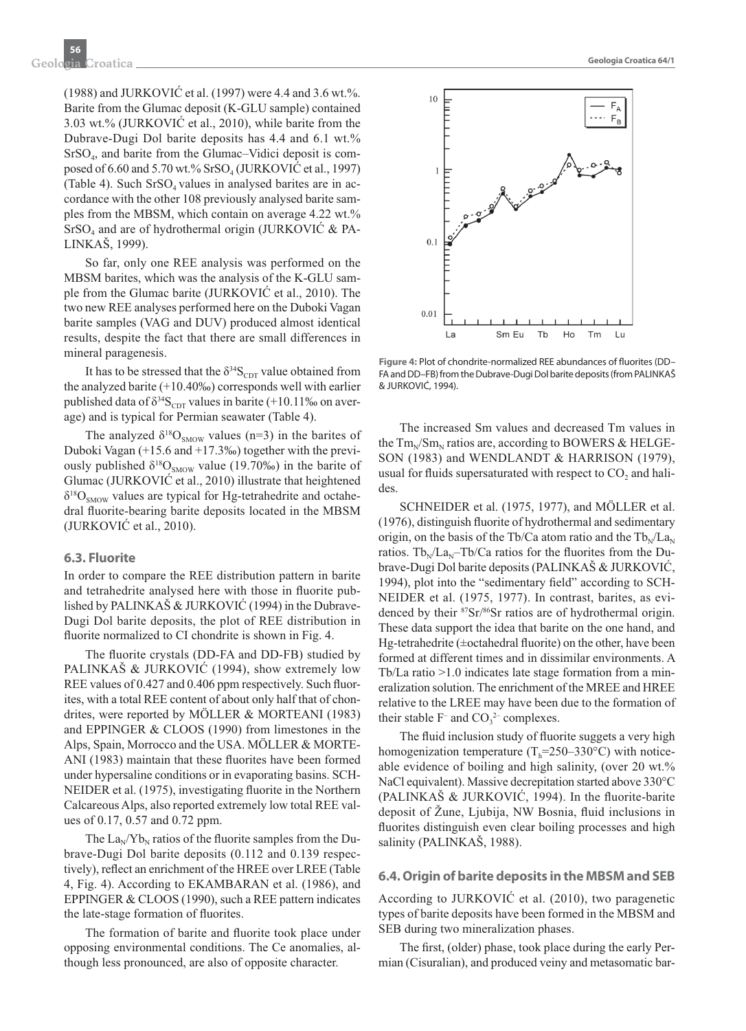(1988) and JURKOVIĆ et al. (1997) were 4.4 and 3.6 wt.%. Barite from the Glumac deposit (K-GLU sample) contained 3.03 wt.% (JURKOVIĆ et al., 2010), while barite from the Dubrave-Dugi Dol barite deposits has 4.4 and 6.1 wt.% SrSO4, and barite from the Glumac–Vidici deposit is composed of 6.60 and 5.70 wt.% SrSO<sub>4</sub> (JURKOVIC et al., 1997) (Table 4). Such  $SrSO<sub>4</sub>$  values in analysed barites are in accordance with the other 108 previously analysed barite samples from the MBSM, which contain on average 4.22 wt.%  $SrSO<sub>4</sub>$  and are of hydrothermal origin (JURKOVIC & PA-LINKAŠ, 1999).

So far, only one REE analysis was performed on the MBSM barites, which was the analysis of the K-GLU sample from the Glumac barite (JURKOVIĆ et al., 2010). The two new REE analyses performed here on the Duboki Vagan barite samples (VAG and DUV) produced almost identical results, despite the fact that there are small differences in mineral paragenesis.

It has to be stressed that the  $\delta^{34}S_{CDT}$  value obtained from the analyzed barite (+10.40‰) corresponds well with earlier published data of  $\delta^{34}S_{\text{CDT}}$  values in barite (+10.11‰ on average) and is typical for Permian seawater (Table 4).

The analyzed  $\delta^{18}O_{SMOW}$  values (n=3) in the barites of Duboki Vagan (+15.6 and +17.3‰) together with the previously published  $\delta^{18}O_{SMOW}$  value (19.70‰) in the barite of Glumac (JURKOVIĆ et al., 2010) illustrate that heightened  $\delta^{18}O_{SMOW}$  values are typical for Hg-tetrahedrite and octahedral fluorite-bearing barite deposits located in the MBSM (JURKOVIĆ et al., 2010).

#### **6.3. Fluorite**

In order to compare the REE distribution pattern in barite and tetrahedrite analysed here with those in fluorite published by PALINKAŠ & JURKOVIĆ (1994) in the Dubrave-Dugi Dol barite deposits, the plot of REE distribution in fluorite normalized to CI chondrite is shown in Fig. 4.

The fluorite crystals (DD-FA and DD-FB) studied by PALINKAŠ & JURKOVIĆ (1994), show extremely low REE values of 0.427 and 0.406 ppm respectively. Such fluorites, with a total REE content of about only half that of chondrites, were reported by MÖLLER & MORTEANI (1983) and EPPINGER & CLOOS (1990) from limestones in the Alps, Spain, Morrocco and the USA. MÖLLER & MORTE-ANI (1983) maintain that these fluorites have been formed under hypersaline conditions or in evaporating basins. SCH-NEIDER et al. (1975), investigating fluorite in the Northern Calcareous Alps, also reported extremely low total REE values of 0.17, 0.57 and 0.72 ppm.

The  $La_N/Yb_N$  ratios of the fluorite samples from the Dubrave-Dugi Dol barite deposits (0.112 and 0.139 respectively), reflect an enrichment of the HREE over LREE (Table 4, Fig. 4). According to EKAMBARAN et al. (1986), and EPPINGER & CLOOS (1990), such a REE pattern indicates the late-stage formation of fluorites.

The formation of barite and fluorite took place under opposing environmental conditions. The Ce anomalies, although less pronounced, are also of opposite character.



Figure 4: Plot of chondrite-normalized REE abundances of fluorites (DD-FA and DD–FB) from the Dubrave-Dugi Dol barite deposits (from PALINKAŠ & JURKOVIĆ, 1994).

The increased Sm values and decreased Tm values in the  $Tm_N/Sm_N$  ratios are, according to BOWERS & HELGE-SON (1983) and WENDLANDT & HARRISON (1979), usual for fluids supersaturated with respect to CO<sub>2</sub> and halides.

SCHNEIDER et al. (1975, 1977), and MÖLLER et al.  $(1976)$ , distinguish fluorite of hydrothermal and sedimentary origin, on the basis of the Tb/Ca atom ratio and the  $Tb_N/La_N$ ratios. Tb<sub>N</sub>/La<sub>N</sub>–Tb/Ca ratios for the fluorites from the Dubrave-Dugi Dol barite deposits (PALINKAŠ & JURKOVIĆ, 1994), plot into the "sedimentary field" according to SCH-NEIDER et al. (1975, 1977). In contrast, barites, as evidenced by their 87Sr/86Sr ratios are of hydrothermal origin. These data support the idea that barite on the one hand, and Hg-tetrahedrite ( $\pm$ octahedral fluorite) on the other, have been formed at different times and in dissimilar environments. A Tb/La ratio >1.0 indicates late stage formation from a mineralization solution. The enrichment of the MREE and HREE relative to the LREE may have been due to the formation of their stable  $F^-$  and  $CO_3^2$  complexes.

The fluid inclusion study of fluorite suggets a very high homogenization temperature  $(T<sub>h</sub>=250-330^{\circ}C)$  with noticeable evidence of boiling and high salinity, (over 20 wt.% NaCl equivalent). Massive decrepitation started above 330°C  $(PALINKAŠ & JURKOVIC, 1994)$ . In the fluorite-barite deposit of Žune, Ljubija, NW Bosnia, fluid inclusions in fluorites distinguish even clear boiling processes and high salinity (PALINKAŠ, 1988).

#### **6.4. Origin of barite deposits in the MBSM and SEB**

According to JURKOVIĆ et al. (2010), two paragenetic types of barite deposits have been formed in the MBSM and SEB during two mineralization phases.

The first, (older) phase, took place during the early Permian (Cisuralian), and produced veiny and metasomatic bar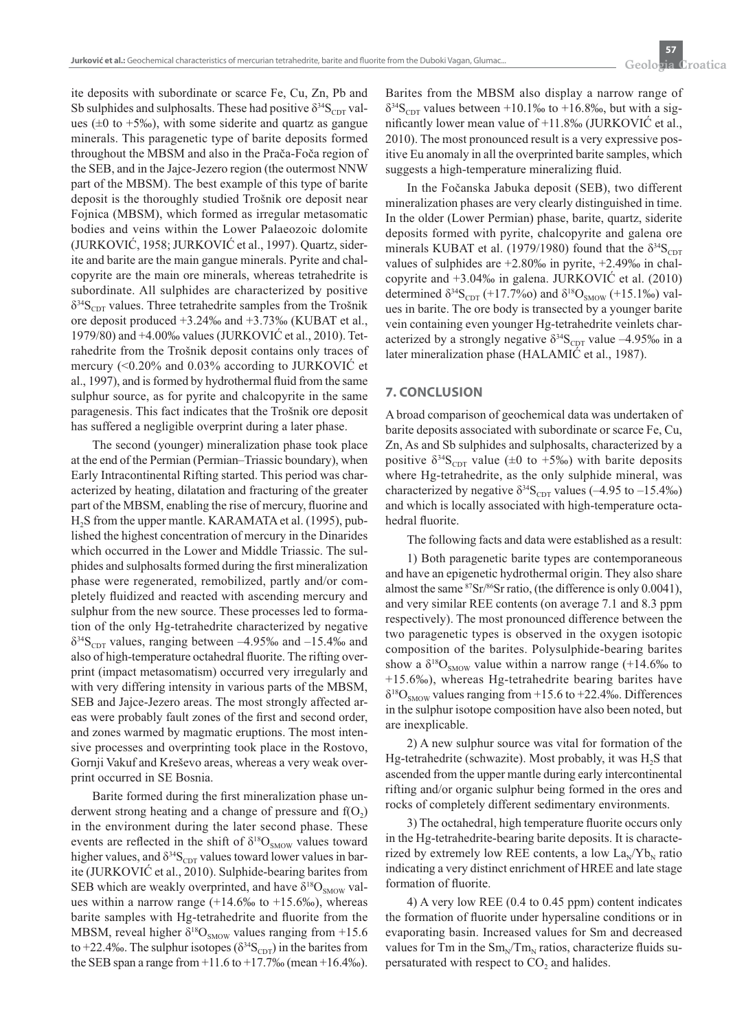ite deposits with subordinate or scarce Fe, Cu, Zn, Pb and Sb sulphides and sulphosalts. These had positive  $\delta^{34}S_{CDT}$  values ( $\pm 0$  to  $+5\%$ ), with some siderite and quartz as gangue minerals. This paragenetic type of barite deposits formed throughout the MBSM and also in the Prača-Foča region of the SEB, and in the Jajce-Jezero region (the outermost NNW part of the MBSM). The best example of this type of barite deposit is the thoroughly studied Trošnik ore deposit near Fojnica (MBSM), which formed as irregular metasomatic bodies and veins within the Lower Palaeozoic dolomite (JURKOVIĆ, 1958; JURKOVIĆ et al., 1997). Quartz, siderite and barite are the main gangue minerals. Pyrite and chalcopyrite are the main ore minerals, whereas tetrahedrite is subordinate. All sulphides are characterized by positive  $\delta^{34}S_{\text{CDT}}$  values. Three tetrahedrite samples from the Trošnik ore deposit produced +3.24‰ and +3.73‰ (KUBAT et al., 1979/80) and +4.00‰ values (JURKOVIĆ et al., 2010). Tetrahedrite from the Trošnik deposit contains only traces of mercury (<0.20% and 0.03% according to JURKOVIĆ et al., 1997), and is formed by hydrothermal fluid from the same sulphur source, as for pyrite and chalcopyrite in the same paragenesis. This fact indicates that the Trošnik ore deposit has suffered a negligible overprint during a later phase.

The second (younger) mineralization phase took place at the end of the Permian (Permian–Triassic boundary), when Early Intracontinental Rifting started. This period was characterized by heating, dilatation and fracturing of the greater part of the MBSM, enabling the rise of mercury, fluorine and H<sub>2</sub>S from the upper mantle. KARAMATA et al. (1995), published the highest concentration of mercury in the Dinarides which occurred in the Lower and Middle Triassic. The sulphides and sulphosalts formed during the first mineralization phase were regenerated, remobilized, partly and/or completely fluidized and reacted with ascending mercury and sulphur from the new source. These processes led to formation of the only Hg-tetrahedrite characterized by negative  $\delta^{34}S_{\text{CDT}}$  values, ranging between  $-4.95\%$  and  $-15.4\%$  and also of high-temperature octahedral fluorite. The rifting overprint (impact metasomatism) occurred very irregularly and with very differing intensity in various parts of the MBSM, SEB and Jajce-Jezero areas. The most strongly affected areas were probably fault zones of the first and second order, and zones warmed by magmatic eruptions. The most intensive processes and overprinting took place in the Rostovo, Gornji Vakuf and Kreševo areas, whereas a very weak overprint occurred in SE Bosnia.

Barite formed during the first mineralization phase underwent strong heating and a change of pressure and  $f(O<sub>2</sub>)$ in the environment during the later second phase. These events are reflected in the shift of  $\delta^{18}O_{SMOW}$  values toward higher values, and  $\delta^{34}S_{CDT}$  values toward lower values in barite (JURKOVIĆ et al., 2010). Sulphide-bearing barites from SEB which are weakly overprinted, and have  $\delta^{18}O_{SMOW}$  values within a narrow range  $(+14.6\% \text{ to } +15.6\% \text{).}$  whereas barite samples with Hg-tetrahedrite and fluorite from the MBSM, reveal higher  $\delta^{18}O_{SMOW}$  values ranging from +15.6 to +22.4‰. The sulphur isotopes ( $\delta^{34}S_{CDT}$ ) in the barites from the SEB span a range from  $+11.6$  to  $+17.7%$  (mean  $+16.4%$ ). Barites from the MBSM also display a narrow range of  $\delta^{34}S_{\text{CDT}}$  values between +10.1‰ to +16.8‰, but with a significantly lower mean value of  $+11.8\%$  (JURKOVIC et al., 2010). The most pronounced result is a very expressive positive Eu anomaly in all the overprinted barite samples, which suggests a high-temperature mineralizing fluid.

In the Fočanska Jabuka deposit (SEB), two different mineralization phases are very clearly distinguished in time. In the older (Lower Permian) phase, barite, quartz, siderite deposits formed with pyrite, chalcopyrite and galena ore minerals KUBAT et al. (1979/1980) found that the  $\delta^{34}S_{CDT}$ values of sulphides are  $+2.80\%$  in pyrite,  $+2.49\%$  in chalcopyrite and +3.04‰ in galena. JURKOVIĆ et al. (2010) determined  $\delta^{34}S_{CDT}$  (+17.7%o) and  $\delta^{18}O_{SMOW}$  (+15.1%o) values in barite. The ore body is transected by a younger barite vein containing even younger Hg-tetrahedrite veinlets characterized by a strongly negative  $\delta^{34}S_{CDT}$  value -4.95‰ in a later mineralization phase (HALAMIĆ et al., 1987).

# **7. CONCLUSION**

A broad comparison of geochemical data was undertaken of barite deposits associated with subordinate or scarce Fe, Cu, Zn, As and Sb sulphides and sulphosalts, characterized by a positive  $\delta^{34}S_{\text{CDT}}$  value ( $\pm 0$  to +5‰) with barite deposits where Hg-tetrahedrite, as the only sulphide mineral, was characterized by negative  $\delta^{34}S_{CDT}$  values (–4.95 to –15.4‰) and which is locally associated with high-temperature octahedral fluorite.

The following facts and data were established as a result:

1) Both paragenetic barite types are contemporaneous and have an epigenetic hydrothermal origin. They also share almost the same 87Sr/86Sr ratio, (the difference is only 0.0041), and very similar REE contents (on average 7.1 and 8.3 ppm respectively). The most pronounced difference between the two paragenetic types is observed in the oxygen isotopic composition of the barites. Polysulphide-bearing barites show a  $\delta^{18}O_{SMOW}$  value within a narrow range (+14.6‰ to +15.6‰), whereas Hg-tetrahedrite bearing barites have  $\delta^{18}O_{SMOW}$  values ranging from +15.6 to +22.4‰. Differences in the sulphur isotope composition have also been noted, but are inexplicable.

2) A new sulphur source was vital for formation of the Hg-tetrahedrite (schwazite). Most probably, it was  $H_2S$  that ascended from the upper mantle during early intercontinental rifting and/or organic sulphur being formed in the ores and rocks of completely different sedimentary environments.

3) The octahedral, high temperature fluorite occurs only in the Hg-tetrahedrite-bearing barite deposits. It is characterized by extremely low REE contents, a low  $\text{La}_{\text{N}}/\text{Yb}_{\text{N}}$  ratio indicating a very distinct enrichment of HREE and late stage formation of fluorite.

4) A very low REE (0.4 to 0.45 ppm) content indicates the formation of fluorite under hypersaline conditions or in evaporating basin. Increased values for Sm and decreased values for Tm in the  $Sm_N/Tm_N$  ratios, characterize fluids supersaturated with respect to  $CO<sub>2</sub>$  and halides.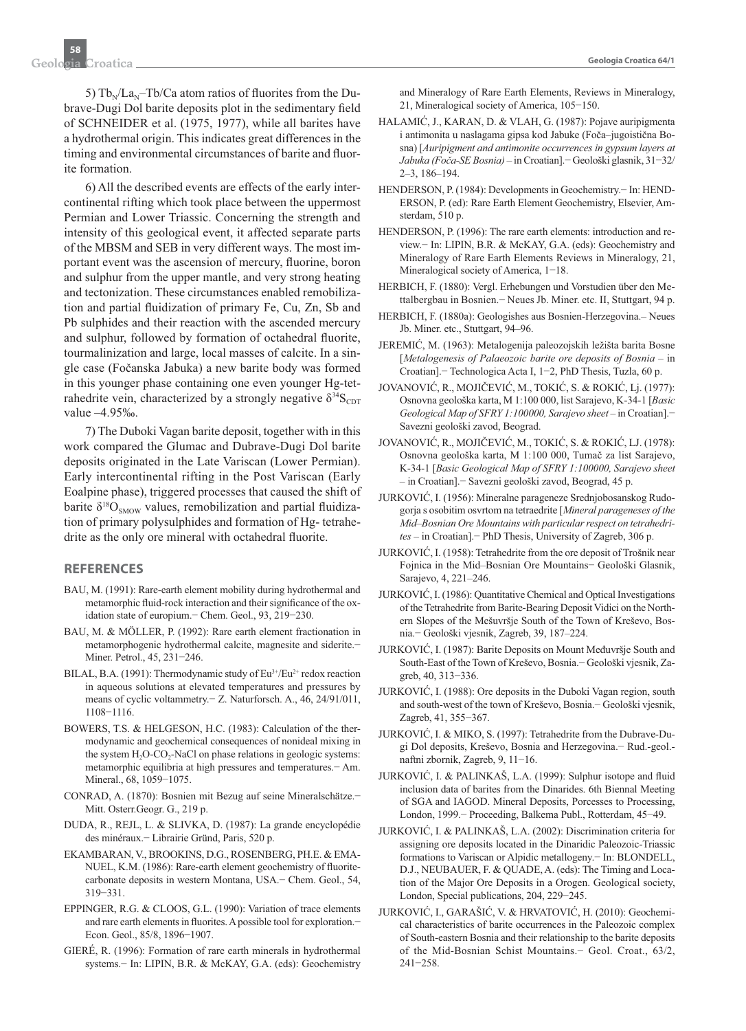5) Tb<sub>N</sub>/La<sub>N</sub>–Tb/Ca atom ratios of fluorites from the Dubrave-Dugi Dol barite deposits plot in the sedimentary field of SCHNEIDER et al. (1975, 1977), while all barites have a hydrothermal origin. This indicates great differences in the timing and environmental circumstances of barite and fluorite formation.

6) All the described events are effects of the early intercontinental rifting which took place between the uppermost Permian and Lower Triassic. Concerning the strength and intensity of this geological event, it affected separate parts of the MBSM and SEB in very different ways. The most important event was the ascension of mercury, fluorine, boron and sulphur from the upper mantle, and very strong heating and tectonization. These circumstances enabled remobilization and partial fluidization of primary Fe, Cu, Zn, Sb and Pb sulphides and their reaction with the ascended mercury and sulphur, followed by formation of octahedral fluorite, tourmalinization and large, local masses of calcite. In a single case (Fočanska Jabuka) a new barite body was formed in this younger phase containing one even younger Hg-tetrahedrite vein, characterized by a strongly negative  $\delta^{34}S_{\text{CDT}}$ value –4.95‰.

7) The Duboki Vagan barite deposit, together with in this work compared the Glumac and Dubrave-Dugi Dol barite deposits originated in the Late Variscan (Lower Permian). Early intercontinental rifting in the Post Variscan (Early Eoalpine phase), triggered processes that caused the shift of barite  $\delta^{18}O_{SMOW}$  values, remobilization and partial fluidization of primary polysulphides and formation of Hg- tetrahedrite as the only ore mineral with octahedral fluorite.

#### **REFERENCES**

- BAU, M. (1991): Rare-earth element mobility during hydrothermal and metamorphic fluid-rock interaction and their significance of the oxidation state of europium.− Chem. Geol., 93, 219−230.
- BAU, M. & MÖLLER, P. (1992): Rare earth element fractionation in metamorphogenic hydrothermal calcite, magnesite and siderite.− Miner. Petrol., 45, 231−246.
- BILAL, B.A. (1991): Thermodynamic study of Eu<sup>3+</sup>/Eu<sup>2+</sup> redox reaction in aqueous solutions at elevated temperatures and pressures by means of cyclic voltammetry.− Z. Naturforsch. A., 46, 24/91/011, 1108−1116.
- BOWERS, T.S. & HELGESON, H.C. (1983): Calculation of the thermodynamic and geochemical consequences of nonideal mixing in the system  $H_2O$ -CO<sub>2</sub>-NaCl on phase relations in geologic systems: metamorphic equilibria at high pressures and temperatures.− Am. Mineral., 68, 1059−1075.
- CONRAD, A. (1870): Bosnien mit Bezug auf seine Mineralschätze.− Mitt. Osterr.Geogr. G., 219 p.
- DUDA, R., REJL, L. & SLIVKA, D. (1987): La grande encyclopédie des minéraux.− Librairie Gründ, Paris, 520 p.
- EKAMBARAN, V., BROOKINS, D.G., ROSENBERG, PH.E. & EMA-NUEL, K.M. (1986): Rare-earth element geochemistry of fluoritecarbonate deposits in western Montana, USA.− Chem. Geol., 54, 319−331.
- EPPINGER, R.G. & CLOOS, G.L. (1990): Variation of trace elements and rare earth elements in fluorites. A possible tool for exploration.− Econ. Geol., 85/8, 1896−1907.
- GIERÉ, R. (1996): Formation of rare earth minerals in hydrothermal systems.− In: LIPIN, B.R. & McKAY, G.A. (eds): Geochemistry

and Mineralogy of Rare Earth Elements, Reviews in Mineralogy, 21, Mineralogical society of America, 105−150.

- HALAMIĆ, J., KARAN, D. & VLAH, G. (1987): Pojave auripigmenta i antimonita u naslagama gipsa kod Jabuke (Foča–jugoistična Bosna) [*Auripigment and antimonite occurrences in gypsum layers at Jabuka (Foča-SE Bosnia)* – in Croatian].− Geološki glasnik, 31−32/ 2–3, 186–194.
- HENDERSON, P. (1984): Developments in Geochemistry.− In: HEND-ERSON, P. (ed): Rare Earth Element Geochemistry, Elsevier, Amsterdam, 510 p.
- HENDERSON, P. (1996): The rare earth elements: introduction and review.− In: LIPIN, B.R. & McKAY, G.A. (eds): Geochemistry and Mineralogy of Rare Earth Elements Reviews in Mineralogy, 21, Mineralogical society of America, 1−18.
- HERBICH, F. (1880): Vergl. Erhebungen und Vorstudien über den Mettalbergbau in Bosnien.− Neues Jb. Miner. etc. II, Stuttgart, 94 p.
- HERBICH, F. (1880a): Geologishes aus Bosnien-Herzegovina.– Neues Jb. Miner. etc., Stuttgart, 94–96.
- JEREMIĆ, M. (1963): Metalogenija paleozojskih ležišta barita Bosne [Metalogenesis of Palaeozoic barite ore deposits of Bosnia - in Croatian].− Technologica Acta I, 1−2, PhD Thesis, Tuzla, 60 p.
- JOVANOVIĆ, R., MOJIČEVIĆ, M., TOKIĆ, S. & ROKIĆ, Lj. (1977): Osnovna geološka karta, M 1:100 000, list Sarajevo, K-34-1 [*Basic Geological Map of SFRY 1:100000, Sarajevo sheet* – in Croatian].− Savezni geološki zavod, Beograd.
- JOVANOVIĆ, R., MOJIČEVIĆ, M., TOKIĆ, S. & ROKIĆ, LJ. (1978): Osnovna geološka karta, M 1:100 000, Tumač za list Sarajevo, K-34-1 [*Basic Geological Map of SFRY 1:100000, Sarajevo sheet*  – in Croatian].− Savezni geološki zavod, Beograd, 45 p.
- JURKOVIĆ, I. (1956): Mineralne parageneze Srednjobosanskog Rudogorja s osobitim osvrtom na tetraedrite [*Mineral parageneses of the Mid–Bosnian Ore Mountains with particular respect on tetrahedrites* – in Croatian].− PhD Thesis, University of Zagreb, 306 p.
- JURKOVIĆ, I. (1958): Tetrahedrite from the ore deposit of Trošnik near Fojnica in the Mid–Bosnian Ore Mountains− Geološki Glasnik, Sarajevo, 4, 221–246.
- JURKOVIĆ, I. (1986): Quantitative Chemical and Optical Investigations of the Tetrahedrite from Barite-Bearing Deposit Vidici on the Northern Slopes of the Mešuvršje South of the Town of Kreševo, Bosnia.− Geološki vjesnik, Zagreb, 39, 187–224.
- JURKOVIĆ, I. (1987): Barite Deposits on Mount Međuvršje South and South-East of the Town of Kreševo, Bosnia.− Geološki vjesnik, Zagreb, 40, 313−336.
- JURKOVIĆ, I. (1988): Ore deposits in the Duboki Vagan region, south and south-west of the town of Kreševo, Bosnia.− Geološki vjesnik, Zagreb, 41, 355−367.
- JURKOVIĆ, I. & MIKO, S. (1997): Tetrahedrite from the Dubrave-Dugi Dol deposits, Kreševo, Bosnia and Herzegovina.− Rud.-geol. naftni zbornik, Zagreb, 9, 11−16.
- JURKOVIĆ, I. & PALINKAŠ, L.A. (1999): Sulphur isotope and fluid inclusion data of barites from the Dinarides. 6th Biennal Meeting of SGA and IAGOD. Mineral Deposits, Porcesses to Processing, London, 1999.− Proceeding, Balkema Publ., Rotterdam, 45−49.
- JURKOVIĆ, I. & PALINKAŠ, L.A. (2002): Discrimination criteria for assigning ore deposits located in the Dinaridic Paleozoic-Triassic formations to Variscan or Alpidic metallogeny.− In: BLONDELL, D.J., NEUBAUER, F. & QUADE, A. (eds): The Timing and Location of the Major Ore Deposits in a Orogen. Geological society, London, Special publications, 204, 229−245.
- JURKOVIĆ, I., GARAŠIĆ, V. & HRVATOVIĆ, H. (2010): Geochemical characteristics of barite occurrences in the Paleozoic complex of South-eastern Bosnia and their relationship to the barite deposits of the Mid-Bosnian Schist Mountains.− Geol. Croat., 63/2, 241−258.